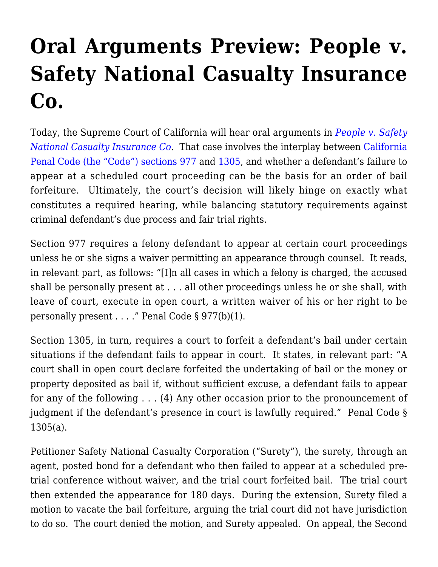## **[Oral Arguments Preview: People v.](http://scocablog.com/oral-arguments-preview-people-v-safety-national-casualty-insurance-co/) [Safety National Casualty Insurance](http://scocablog.com/oral-arguments-preview-people-v-safety-national-casualty-insurance-co/) [Co.](http://scocablog.com/oral-arguments-preview-people-v-safety-national-casualty-insurance-co/)**

Today, the Supreme Court of California will hear oral arguments in *[People v. Safety](http://appellatecases.courtinfo.ca.gov/search/case/mainCaseScreen.cfm?dist=0&doc_id=2077451&doc_no=S218712) [National Casualty Insurance Co](http://appellatecases.courtinfo.ca.gov/search/case/mainCaseScreen.cfm?dist=0&doc_id=2077451&doc_no=S218712).* That case involves the interplay between [California](http://www.leginfo.ca.gov/cgi-bin/displaycode?section=pen&group=00001-01000&file=976-992) [Penal Code \(the "Code"\) sections 977](http://www.leginfo.ca.gov/cgi-bin/displaycode?section=pen&group=00001-01000&file=976-992) and [1305](http://www.leginfo.ca.gov/cgi-bin/displaycode?section=pen&group=01001-02000&file=1305-1308), and whether a defendant's failure to appear at a scheduled court proceeding can be the basis for an order of bail forfeiture. Ultimately, the court's decision will likely hinge on exactly what constitutes a required hearing, while balancing statutory requirements against criminal defendant's due process and fair trial rights.

Section 977 requires a felony defendant to appear at certain court proceedings unless he or she signs a waiver permitting an appearance through counsel. It reads, in relevant part, as follows: "[I]n all cases in which a felony is charged, the accused shall be personally present at . . . all other proceedings unless he or she shall, with leave of court, execute in open court, a written waiver of his or her right to be personally present . . . ." Penal Code § 977(b)(1).

Section 1305, in turn, requires a court to forfeit a defendant's bail under certain situations if the defendant fails to appear in court. It states, in relevant part: "A court shall in open court declare forfeited the undertaking of bail or the money or property deposited as bail if, without sufficient excuse, a defendant fails to appear for any of the following . . . (4) Any other occasion prior to the pronouncement of judgment if the defendant's presence in court is lawfully required." Penal Code § 1305(a).

Petitioner Safety National Casualty Corporation ("Surety"), the surety, through an agent, posted bond for a defendant who then failed to appear at a scheduled pretrial conference without waiver, and the trial court forfeited bail. The trial court then extended the appearance for 180 days. During the extension, Surety filed a motion to vacate the bail forfeiture, arguing the trial court did not have jurisdiction to do so. The court denied the motion, and Surety appealed. On appeal, the Second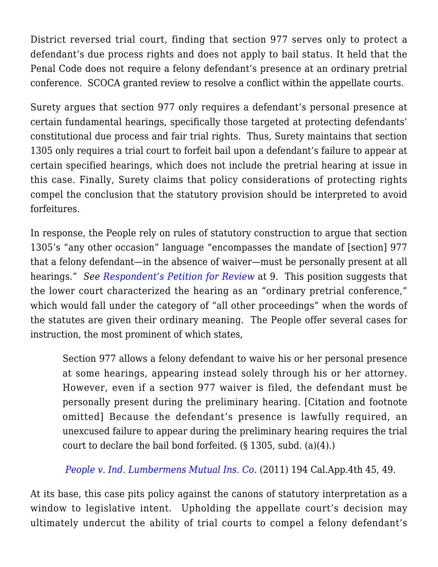District reversed trial court, finding that section 977 serves only to protect a defendant's due process rights and does not apply to bail status. It held that the Penal Code does not require a felony defendant's presence at an ordinary pretrial conference. SCOCA granted review to resolve a conflict within the appellate courts.

Surety argues that section 977 only requires a defendant's personal presence at certain fundamental hearings, specifically those targeted at protecting defendants' constitutional due process and fair trial rights. Thus, Surety maintains that section 1305 only requires a trial court to forfeit bail upon a defendant's failure to appear at certain specified hearings, which does not include the pretrial hearing at issue in this case. Finally, Surety claims that policy considerations of protecting rights compel the conclusion that the statutory provision should be interpreted to avoid forfeitures.

In response, the People rely on rules of statutory construction to argue that section 1305's "any other occasion" language "encompasses the mandate of [section] 977 that a felony defendant—in the absence of waiver—must be personally present at all hearings." *See [Respondent's Petition for Review](http://www.courts.ca.gov/documents/1-s218712-resp-pet-rev-052014.pdf)* at 9. This position suggests that the lower court characterized the hearing as an "ordinary pretrial conference," which would fall under the category of "all other proceedings" when the words of the statutes are given their ordinary meaning. The People offer several cases for instruction, the most prominent of which states,

Section 977 allows a felony defendant to waive his or her personal presence at some hearings, appearing instead solely through his or her attorney. However, even if a section 977 waiver is filed, the defendant must be personally present during the preliminary hearing. [Citation and footnote omitted] Because the defendant's presence is lawfully required, an unexcused failure to appear during the preliminary hearing requires the trial court to declare the bail bond forfeited. (§ 1305, subd. (a)(4).)

*[People v. Ind. Lumbermens Mutual Ins. Co.](http://www.therecorder.com/id=1202489395409/People-v-Indiana-Lumbermens-Mutual-Insurance-Company?slreturn=20151002202621)* (2011) 194 Cal.App.4th 45, 49.

At its base, this case pits policy against the canons of statutory interpretation as a window to legislative intent. Upholding the appellate court's decision may ultimately undercut the ability of trial courts to compel a felony defendant's